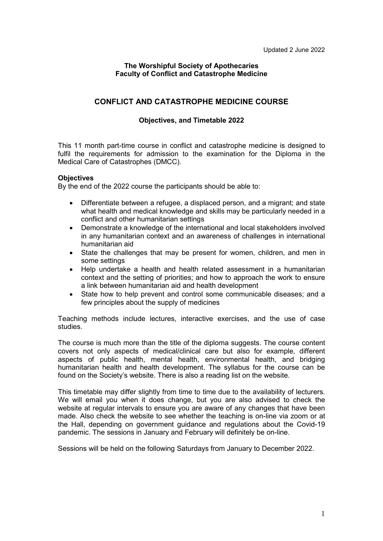## **The Worshipful Society of Apothecaries Faculty of Conflict and Catastrophe Medicine**

## **CONFLICT AND CATASTROPHE MEDICINE COURSE**

## **Objectives, and Timetable 2022**

This 11 month part-time course in conflict and catastrophe medicine is designed to fulfil the requirements for admission to the examination for the Diploma in the Medical Care of Catastrophes (DMCC).

## **Objectives**

By the end of the 2022 course the participants should be able to:

- Differentiate between a refugee, a displaced person, and a migrant; and state what health and medical knowledge and skills may be particularly needed in a conflict and other humanitarian settings
- Demonstrate a knowledge of the international and local stakeholders involved in any humanitarian context and an awareness of challenges in international humanitarian aid
- State the challenges that may be present for women, children, and men in some settings
- Help undertake a health and health related assessment in a humanitarian context and the setting of priorities; and how to approach the work to ensure a link between humanitarian aid and health development
- State how to help prevent and control some communicable diseases; and a few principles about the supply of medicines

Teaching methods include lectures, interactive exercises, and the use of case studies.

The course is much more than the title of the diploma suggests. The course content covers not only aspects of medical/clinical care but also for example, different aspects of public health, mental health, environmental health, and bridging humanitarian health and health development. The syllabus for the course can be found on the Society's website. There is also a reading list on the website.

This timetable may differ slightly from time to time due to the availability of lecturers. We will email you when it does change, but you are also advised to check the website at regular intervals to ensure you are aware of any changes that have been made. Also check the website to see whether the teaching is on-line via zoom or at the Hall, depending on government guidance and regulations about the Covid-19 pandemic. The sessions in January and February will definitely be on-line.

Sessions will be held on the following Saturdays from January to December 2022.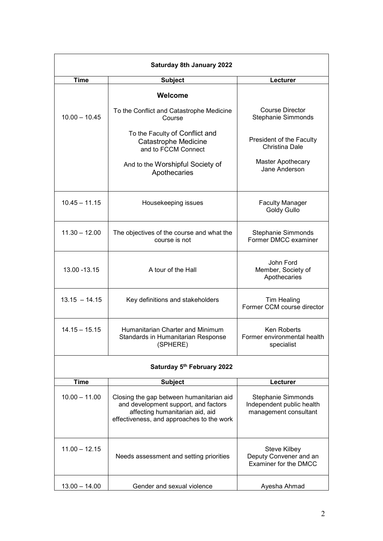| <b>Saturday 8th January 2022</b> |                                                                                                                                                                  |                                                                                 |
|----------------------------------|------------------------------------------------------------------------------------------------------------------------------------------------------------------|---------------------------------------------------------------------------------|
| Time                             | <b>Subject</b>                                                                                                                                                   | Lecturer                                                                        |
|                                  | Welcome<br>To the Conflict and Catastrophe Medicine                                                                                                              | Course Director                                                                 |
| $10.00 - 10.45$                  | Course<br>To the Faculty of Conflict and<br><b>Catastrophe Medicine</b><br>and to FCCM Connect                                                                   | <b>Stephanie Simmonds</b><br>President of the Faculty<br><b>Christina Dale</b>  |
|                                  | And to the Worshipful Society of<br>Apothecaries                                                                                                                 | Master Apothecary<br>Jane Anderson                                              |
| $10.45 - 11.15$                  | Housekeeping issues                                                                                                                                              | <b>Faculty Manager</b><br>Goldy Gullo                                           |
| $11.30 - 12.00$                  | The objectives of the course and what the<br>course is not                                                                                                       | Stephanie Simmonds<br>Former DMCC examiner                                      |
| 13.00 - 13.15                    | A tour of the Hall                                                                                                                                               | John Ford<br>Member, Society of<br>Apothecaries                                 |
| $13.15 - 14.15$                  | Key definitions and stakeholders                                                                                                                                 | <b>Tim Healing</b><br>Former CCM course director                                |
| $14.15 - 15.15$                  | Humanitarian Charter and Minimum<br>Standards in Humanitarian Response<br>(SPHERE)                                                                               | <b>Ken Roberts</b><br>Former environmental health<br>specialist                 |
| Saturday 5th February 2022       |                                                                                                                                                                  |                                                                                 |
| <b>Time</b>                      | <b>Subject</b>                                                                                                                                                   | Lecturer                                                                        |
| $10.00 - 11.00$                  | Closing the gap between humanitarian aid<br>and development support, and factors<br>affecting humanitarian aid, aid<br>effectiveness, and approaches to the work | <b>Stephanie Simmonds</b><br>Independent public health<br>management consultant |
| $11.00 - 12.15$                  | Needs assessment and setting priorities                                                                                                                          | <b>Steve Kilbey</b><br>Deputy Convener and an<br>Examiner for the DMCC          |
| $13.00 - 14.00$                  | Gender and sexual violence                                                                                                                                       | Ayesha Ahmad                                                                    |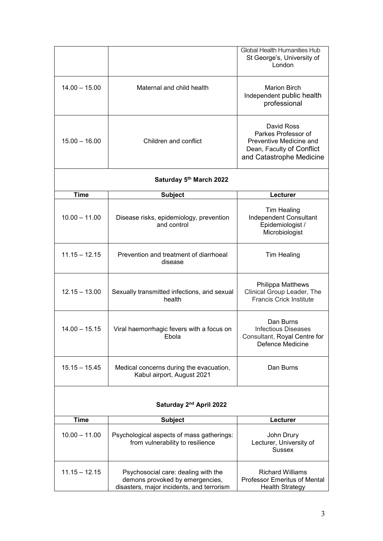|                                     |                                                                                                                     | <b>Global Health Humanities Hub</b><br>St George's, University of<br>London                                           |  |
|-------------------------------------|---------------------------------------------------------------------------------------------------------------------|-----------------------------------------------------------------------------------------------------------------------|--|
| $14.00 - 15.00$                     | Maternal and child health                                                                                           | <b>Marion Birch</b><br>Independent public health<br>professional                                                      |  |
| $15.00 - 16.00$                     | Children and conflict                                                                                               | David Ross<br>Parkes Professor of<br>Preventive Medicine and<br>Dean, Faculty of Conflict<br>and Catastrophe Medicine |  |
| Saturday 5th March 2022             |                                                                                                                     |                                                                                                                       |  |
| <b>Time</b>                         | <b>Subject</b>                                                                                                      | Lecturer                                                                                                              |  |
| $10.00 - 11.00$                     | Disease risks, epidemiology, prevention<br>and control                                                              | <b>Tim Healing</b><br>Independent Consultant<br>Epidemiologist /<br>Microbiologist                                    |  |
| $11.15 - 12.15$                     | Prevention and treatment of diarrhoeal<br>disease                                                                   | <b>Tim Healing</b>                                                                                                    |  |
| $12.15 - 13.00$                     | Sexually transmitted infections, and sexual<br>health                                                               | <b>Philippa Matthews</b><br>Clinical Group Leader, The<br><b>Francis Crick Institute</b>                              |  |
| $14.00 - 15.15$                     | Viral haemorrhagic fevers with a focus on<br>Ebola                                                                  | Dan Burns<br><b>Infectious Diseases</b><br>Consultant, Royal Centre for<br>Defence Medicine                           |  |
| $15.15 - 15.45$                     | Medical concerns during the evacuation,<br>Kabul airport, August 2021                                               | Dan Burns                                                                                                             |  |
| Saturday 2 <sup>nd</sup> April 2022 |                                                                                                                     |                                                                                                                       |  |
| <b>Time</b>                         | <b>Subject</b>                                                                                                      | Lecturer                                                                                                              |  |
| $10.00 - 11.00$                     | Psychological aspects of mass gatherings:<br>from vulnerability to resilience                                       | John Drury<br>Lecturer, University of<br><b>Sussex</b>                                                                |  |
| $11.15 - 12.15$                     | Psychosocial care: dealing with the<br>demons provoked by emergencies,<br>disasters, major incidents, and terrorism | <b>Richard Williams</b><br><b>Professor Emeritus of Mental</b><br><b>Health Strategy</b>                              |  |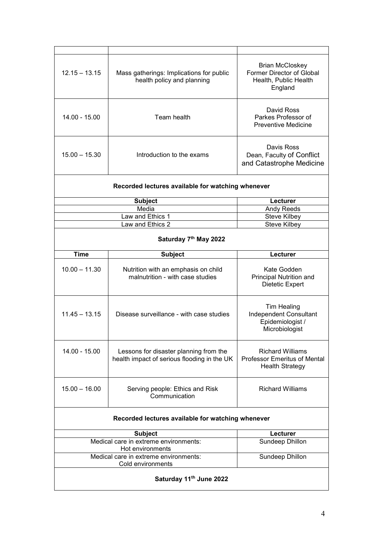| $12.15 - 13.15$                                                               | Mass gatherings: Implications for public<br>health policy and planning                | <b>Brian McCloskey</b><br>Former Director of Global<br>Health, Public Health<br>England  |
|-------------------------------------------------------------------------------|---------------------------------------------------------------------------------------|------------------------------------------------------------------------------------------|
| $14.00 - 15.00$                                                               | Team health                                                                           | David Ross<br>Parkes Professor of<br><b>Preventive Medicine</b>                          |
| $15.00 - 15.30$                                                               | Introduction to the exams                                                             | Davis Ross<br>Dean, Faculty of Conflict<br>and Catastrophe Medicine                      |
| Recorded lectures available for watching whenever                             |                                                                                       |                                                                                          |
|                                                                               | <b>Subject</b>                                                                        | Lecturer                                                                                 |
|                                                                               | Media                                                                                 | Andy Reeds                                                                               |
|                                                                               | Law and Ethics 1                                                                      | <b>Steve Kilbey</b>                                                                      |
|                                                                               | Law and Ethics 2                                                                      | <b>Steve Kilbey</b>                                                                      |
| Saturday 7th May 2022                                                         |                                                                                       |                                                                                          |
| <b>Time</b>                                                                   | <b>Subject</b>                                                                        | Lecturer                                                                                 |
| $10.00 - 11.30$                                                               | Nutrition with an emphasis on child<br>malnutrition - with case studies               | Kate Godden<br>Principal Nutrition and<br>Dietetic Expert                                |
| $11.45 - 13.15$                                                               | Disease surveillance - with case studies                                              | <b>Tim Healing</b><br>Independent Consultant<br>Epidemiologist /<br>Microbiologist       |
| 14.00 - 15.00                                                                 | Lessons for disaster planning from the<br>health impact of serious flooding in the UK | <b>Richard Williams</b><br><b>Professor Emeritus of Mental</b><br><b>Health Strategy</b> |
| $15.00 - 16.00$                                                               | Serving people: Ethics and Risk<br>Communication                                      | <b>Richard Williams</b>                                                                  |
|                                                                               | Recorded lectures available for watching whenever                                     |                                                                                          |
|                                                                               | <b>Subject</b>                                                                        | Lecturer                                                                                 |
|                                                                               | Medical care in extreme environments:<br>Hot environments                             | Sundeep Dhillon                                                                          |
| Medical care in extreme environments:<br>Sundeep Dhillon<br>Cold environments |                                                                                       |                                                                                          |
| Saturday 11 <sup>th</sup> June 2022                                           |                                                                                       |                                                                                          |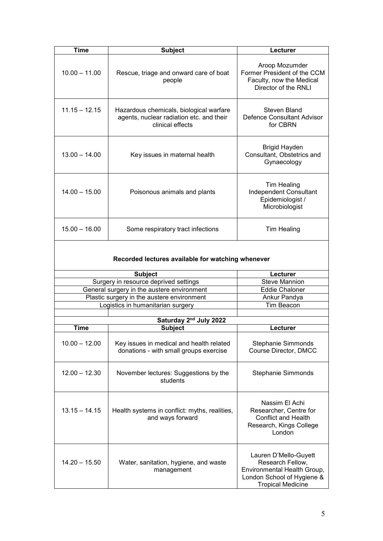| <b>Time</b>                                       | <b>Subject</b>                                                                                          | Lecturer                                                                                                                           |
|---------------------------------------------------|---------------------------------------------------------------------------------------------------------|------------------------------------------------------------------------------------------------------------------------------------|
| $10.00 - 11.00$                                   | Rescue, triage and onward care of boat<br>people                                                        | Aroop Mozumder<br>Former President of the CCM<br>Faculty, now the Medical<br>Director of the RNLI                                  |
| $11.15 - 12.15$                                   | Hazardous chemicals, biological warfare<br>agents, nuclear radiation etc. and their<br>clinical effects | Steven Bland<br>Defence Consultant Advisor<br>for CBRN                                                                             |
| $13.00 - 14.00$                                   | Key issues in maternal health                                                                           | <b>Brigid Hayden</b><br>Consultant, Obstetrics and<br>Gynaecology                                                                  |
| $14.00 - 15.00$                                   | Poisonous animals and plants                                                                            | <b>Tim Healing</b><br>Independent Consultant<br>Epidemiologist /<br>Microbiologist                                                 |
| $15.00 - 16.00$                                   | Some respiratory tract infections                                                                       | <b>Tim Healing</b>                                                                                                                 |
| Recorded lectures available for watching whenever |                                                                                                         |                                                                                                                                    |
|                                                   | <b>Subject</b>                                                                                          | Lecturer                                                                                                                           |
|                                                   | Surgery in resource deprived settings                                                                   | <b>Steve Mannion</b>                                                                                                               |
|                                                   | General surgery in the austere environment                                                              | <b>Eddie Chaloner</b>                                                                                                              |
|                                                   | Plastic surgery in the austere environment                                                              | Ankur Pandya                                                                                                                       |
|                                                   | Logistics in humanitarian surgery                                                                       | Tim Beacon                                                                                                                         |
|                                                   |                                                                                                         |                                                                                                                                    |
|                                                   | Saturday 2 <sup>nd</sup> July 2022                                                                      |                                                                                                                                    |
| <b>Time</b>                                       | <b>Subject</b>                                                                                          | Lecturer                                                                                                                           |
| $10.00 - 12.00$                                   | Key issues in medical and health related<br>donations - with small groups exercise                      | <b>Stephanie Simmonds</b><br>Course Director, DMCC                                                                                 |
| $12.00 - 12.30$                                   | November lectures: Suggestions by the<br>students                                                       | <b>Stephanie Simmonds</b>                                                                                                          |
| $13.15 - 14.15$                                   | Health systems in conflict: myths, realities,<br>and ways forward                                       | Nassim El Achi<br>Researcher, Centre for<br><b>Conflict and Health</b><br>Research, Kings College<br>London                        |
| $14.20 - 15.50$                                   | Water, sanitation, hygiene, and waste<br>management                                                     | Lauren D'Mello-Guyett<br>Research Fellow,<br>Environmental Health Group,<br>London School of Hygiene &<br><b>Tropical Medicine</b> |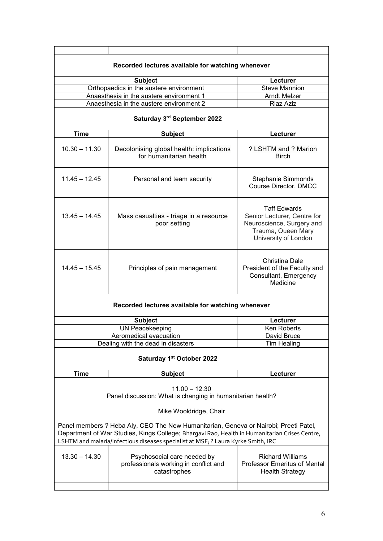|                                                                                                                                                                                                                                                                                                  | Recorded lectures available for watching whenever                                                                                                                         |                                                                                                                               |
|--------------------------------------------------------------------------------------------------------------------------------------------------------------------------------------------------------------------------------------------------------------------------------------------------|---------------------------------------------------------------------------------------------------------------------------------------------------------------------------|-------------------------------------------------------------------------------------------------------------------------------|
|                                                                                                                                                                                                                                                                                                  | <b>Subject</b>                                                                                                                                                            | Lecturer                                                                                                                      |
|                                                                                                                                                                                                                                                                                                  | Orthopaedics in the austere environment                                                                                                                                   | <b>Steve Mannion</b>                                                                                                          |
|                                                                                                                                                                                                                                                                                                  | Anaesthesia in the austere environment 1                                                                                                                                  | <b>Arndt Melzer</b>                                                                                                           |
|                                                                                                                                                                                                                                                                                                  | Anaesthesia in the austere environment 2                                                                                                                                  | Riaz Aziz                                                                                                                     |
|                                                                                                                                                                                                                                                                                                  | Saturday 3rd September 2022                                                                                                                                               |                                                                                                                               |
| <b>Time</b>                                                                                                                                                                                                                                                                                      | <b>Subject</b>                                                                                                                                                            | Lecturer                                                                                                                      |
| $10.30 - 11.30$                                                                                                                                                                                                                                                                                  | Decolonising global health: implications<br>for humanitarian health                                                                                                       | ? LSHTM and ? Marion<br>Birch                                                                                                 |
| $11.45 - 12.45$                                                                                                                                                                                                                                                                                  | Personal and team security                                                                                                                                                | <b>Stephanie Simmonds</b><br>Course Director, DMCC                                                                            |
| $13.45 - 14.45$                                                                                                                                                                                                                                                                                  | Mass casualties - triage in a resource<br>poor setting                                                                                                                    | <b>Taff Edwards</b><br>Senior Lecturer, Centre for<br>Neuroscience, Surgery and<br>Trauma, Queen Mary<br>University of London |
| $14.45 - 15.45$                                                                                                                                                                                                                                                                                  | Principles of pain management                                                                                                                                             | Christina Dale<br>President of the Faculty and<br>Consultant, Emergency<br>Medicine                                           |
| Recorded lectures available for watching whenever                                                                                                                                                                                                                                                |                                                                                                                                                                           |                                                                                                                               |
|                                                                                                                                                                                                                                                                                                  | <b>Subject</b>                                                                                                                                                            | Lecturer                                                                                                                      |
|                                                                                                                                                                                                                                                                                                  | <b>UN Peacekeeping</b>                                                                                                                                                    | Ken Roberts                                                                                                                   |
| Aeromedical evacuation                                                                                                                                                                                                                                                                           |                                                                                                                                                                           | David Bruce                                                                                                                   |
|                                                                                                                                                                                                                                                                                                  | Dealing with the dead in disasters                                                                                                                                        | <b>Tim Healing</b>                                                                                                            |
| Saturday 1st October 2022                                                                                                                                                                                                                                                                        |                                                                                                                                                                           |                                                                                                                               |
| <b>Time</b>                                                                                                                                                                                                                                                                                      | <b>Subject</b>                                                                                                                                                            | Lecturer                                                                                                                      |
| $11.00 - 12.30$<br>Panel discussion: What is changing in humanitarian health?<br>Mike Wooldridge, Chair<br>Panel members ? Heba Aly, CEO The New Humanitarian, Geneva or Nairobi; Preeti Patel,<br>Department of War Studies, Kings College; Bhargavi Rao, Health in Humanitarian Crises Centre, |                                                                                                                                                                           |                                                                                                                               |
| $13.30 - 14.30$                                                                                                                                                                                                                                                                                  | LSHTM and malaria/infectious diseases specialist at MSF; ? Laura Kyrke Smith, IRC<br>Psychosocial care needed by<br>professionals working in conflict and<br>catastrophes | <b>Richard Williams</b><br><b>Professor Emeritus of Mental</b><br><b>Health Strategy</b>                                      |